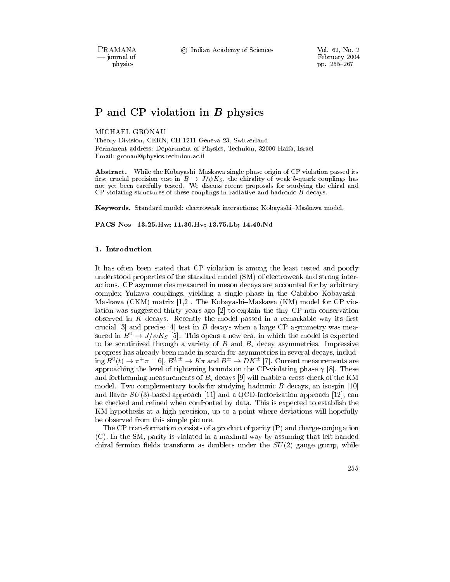PRAMANA - journal of physics

© Indian Academy of Sciences

Vol. 62, No. 2 February 2004 pp. 255-267

# P and CP violation in  $B$  physics

#### MICHAEL GRONAU

Theory Division, CERN, CH-1211 Geneva 23, Switzerland Permanent address: Department of Physics, Technion, 32000 Haifa, Israel Email: gronau@physics.technion.ac.il

**Abstract.** While the Kobayashi-Maskawa single phase origin of CP violation passed its first crucial precision test in  $B \to J/\psi K_s$ , the chirality of weak b-quark couplings has not yet been carefully tested. We discuss recent proposals for studying the chiral and  $CP$ -violating structures of these couplings in radiative and hadronic  $\ddot{B}$  decays.

Keywords. Standard model; electroweak interactions; Kobayashi-Maskawa model.

PACS Nos 13.25. Hw; 11.30. Hv; 13.75. Lb; 14.40. Nd

#### 1. Introduction

It has often been stated that CP violation is among the least tested and poorly understood properties of the standard model (SM) of electroweak and strong interactions. CP asymmetries measured in meson decays are accounted for by arbitrary complex Yukawa couplings, yielding a single phase in the Cabibbo-Kobayashi-Maskawa (CKM) matrix [1,2]. The Kobayashi-Maskawa (KM) model for CP violation was suggested thirty years ago [2] to explain the tiny CP non-conservation observed in  $K$  decays. Recently the model passed in a remarkable way its first crucial  $[3]$  and precise  $[4]$  test in B decays when a large CP asymmetry was measured in  $B^0 \to J/\psi K_S$  [5]. This opens a new era, in which the model is expected to be scrutinized through a variety of B and  $B_s$  decay asymmetries. Impressive progress has already been made in search for asymmetries in several decays, including  $B^0(t) \to \pi^+ \pi^-$  [6],  $B^{0,\pm} \to K \pi$  and  $B^{\pm} \to D K^{\pm}$  [7]. Current measurements are approaching the level of tightening bounds on the CP-violating phase  $\gamma$  [8]. These and forthcoming measurements of  $B_s$  decays [9] will enable a cross-check of the KM model. Two complementary tools for studying hadronic  $B$  decays, an isospin [10] and flavor  $SU(3)$ -based approach [11] and a QCD-factorization approach [12], can be checked and refined when confronted by data. This is expected to establish the KM hypothesis at a high precision, up to a point where deviations will hopefully be observed from this simple picture.

The CP transformation consists of a product of parity (P) and charge-conjugation (C). In the SM, parity is violated in a maximal way by assuming that left-handed chiral fermion fields transform as doublets under the  $SU(2)$  gauge group, while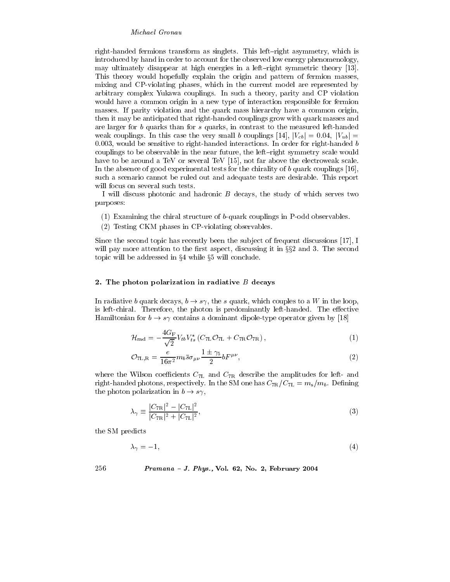right-handed fermions transform as singlets. This left-right asymmetry, which is introduced by hand in order to account for the observed low energy phenomenology, may ultimately disappear at high energies in a left-right symmetric theory [13]. This theory would hopefully explain the origin and pattern of fermion masses, mixing and CP-violating phases, which in the current model are represented by arbitrary complex Yukawa couplings. In such a theory, parity and CP violation would have a common origin in a new type of interaction responsible for fermion masses. If parity violation and the quark mass hierarchy have a common origin, then it may be anticipated that right-handed couplings grow with quark masses and are larger for b quarks than for s quarks, in contrast to the measured left-handed weak couplings. In this case the very small b couplings [14],  $|V_{cb}| = 0.04$ ,  $|V_{ub}| =$  $0.003$ , would be sensitive to right-handed interactions. In order for right-handed b couplings to be observable in the near future, the left-right symmetry scale would have to be around a TeV or several TeV [15], not far above the electroweak scale. In the absence of good experimental tests for the chirality of  $b$  quark couplings [16], such a scenario cannot be ruled out and adequate tests are desirable. This report will focus on several such tests.

I will discuss photonic and hadronic  $B$  decays, the study of which serves two purposes:

- $(1)$  Examining the chiral structure of b-quark couplings in P-odd observables.
- (2) Testing CKM phases in CP-violating observables.

Since the second topic has recently been the subject of frequent discussions [17], I will pay more attention to the first aspect, discussing it in  $\S 2$  and 3. The second topic will be addressed in  $\S 4$  while  $\S 5$  will conclude.

#### 2. The photon polarization in radiative  $B$  decays

In radiative b quark decays,  $b \to s\gamma$ , the s quark, which couples to a W in the loop, is left-chiral. Therefore, the photon is predominantly left-handed. The effective Hamiltonian for  $b \to s\gamma$  contains a dominant dipole-type operator given by [18]

$$
\mathcal{H}_{\rm rad} = -\frac{4G_{\rm F}}{\sqrt{2}} V_{tb} V_{ts}^* (C_{7L} \mathcal{O}_{7L} + C_{7R} \mathcal{O}_{7R}), \qquad (1)
$$

$$
\mathcal{O}_{7\mathrm{L},\mathrm{R}} = \frac{e}{16\pi^2} m_b \bar{s} \sigma_{\mu\nu} \frac{1 \pm \gamma_5}{2} b F^{\mu\nu},\tag{2}
$$

where the Wilson coefficients  $C_{7L}$  and  $C_{7R}$  describe the amplitudes for left- and right-handed photons, respectively. In the SM one has  $C_{7R}/C_{7L} = m_s/m_b$ . Defining the photon polarization in  $b \to s\gamma$ ,

$$
\lambda_{\gamma} \equiv \frac{|C_{7\mathrm{R}}|^2 - |C_{7\mathrm{L}}|^2}{|C_{7\mathrm{R}}|^2 + |C_{7\mathrm{L}}|^2},\tag{3}
$$

the SM predicts

$$
\lambda_{\gamma} = -1,\tag{4}
$$

256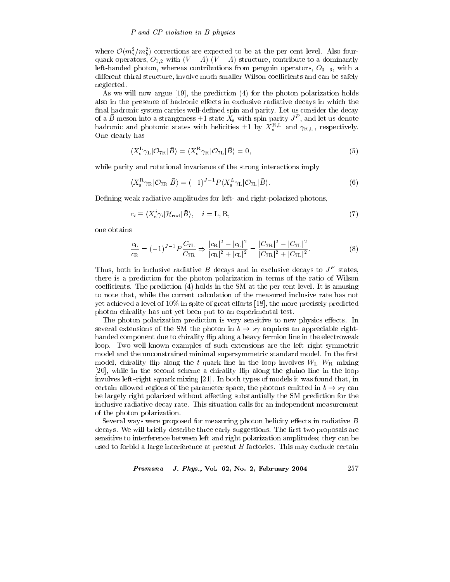where  $\mathcal{O}(m_s^2/m_b^2)$  corrections are expected to be at the per cent level. Also fourquark operators,  $O_{1,2}$  with  $(V - A)$   $(V - A)$  structure, contribute to a dominantly left-handed photon, whereas contributions from penguin operators,  $O_{3-6}$ , with a different chiral structure, involve much smaller Wilson coefficients and can be safely neglected.

As we will now argue [19], the prediction (4) for the photon polarization holds also in the presence of hadronic effects in exclusive radiative decays in which the final hadronic system carries well-defined spin and parity. Let us consider the decay of a  $\bar{B}$  meson into a strangeness +1 state  $X_s$  with spin-parity  $J^P$ , and let us denote hadronic and photonic states with helicities  $\pm 1$  by  $X_s^{R,L}$  and  $\gamma_{R,L}$ , respectively. One clearly has

$$
\langle X_{\rm s}^{\rm L} \gamma_{\rm L} | \mathcal{O}_{7\rm R} | \bar{B} \rangle = \langle X_{\rm s}^{\rm R} \gamma_{\rm R} | \mathcal{O}_{7\rm L} | \bar{B} \rangle = 0, \tag{5}
$$

while parity and rotational invariance of the strong interactions imply

$$
\langle X_{\rm s}^{\rm R} \gamma_{\rm R} | \mathcal{O}_{7\rm R} | \bar{B} \rangle = (-1)^{J-1} P \langle X_{\rm s}^{L} \gamma_{\rm L} | \mathcal{O}_{7\rm L} | \bar{B} \rangle. \tag{6}
$$

Defining weak radiative amplitudes for left- and right-polarized photons,

$$
c_i \equiv \langle X_s^i \gamma_i | \mathcal{H}_{\text{rad}} | \bar{B} \rangle, \quad i = \text{L}, \text{R}, \tag{7}
$$

one obtains

$$
\frac{c_{\rm L}}{c_{\rm R}} = (-1)^{J-1} P \frac{C_{7\rm L}}{C_{7\rm R}} \Rightarrow \frac{|c_{\rm R}|^2 - |c_{\rm L}|^2}{|c_{\rm R}|^2 + |c_{\rm L}|^2} = \frac{|C_{7\rm R}|^2 - |C_{7\rm L}|^2}{|C_{7\rm R}|^2 + |C_{7\rm L}|^2}.
$$
(8)

Thus, both in inclusive radiative B decays and in exclusive decays to  $J<sup>P</sup>$  states. there is a prediction for the photon polarization in terms of the ratio of Wilson coefficients. The prediction (4) holds in the SM at the per cent level. It is amusing to note that, while the current calculation of the measured inclusive rate has not yet achieved a level of 10% in spite of great efforts [18], the more precisely predicted photon chirality has not yet been put to an experimental test.

The photon polarization prediction is very sensitive to new physics effects. In several extensions of the SM the photon in  $b \to s\gamma$  acquires an appreciable righthanded component due to chirality flip along a heavy fermion line in the electroweak loop. Two well-known examples of such extensions are the left-right-symmetric model and the unconstrained minimal supersymmetric standard model. In the first model, chirality flip along the t-quark line in the loop involves  $W_L-W_R$  mixing [20], while in the second scheme a chirality flip along the gluino line in the loop involves left-right squark mixing [21]. In both types of models it was found that, in certain allowed regions of the parameter space, the photons emitted in  $b \to s\gamma$  can be largely right polarized without affecting substantially the SM prediction for the inclusive radiative decay rate. This situation calls for an independent measurement of the photon polarization.

Several ways were proposed for measuring photon helicity effects in radiative B decays. We will briefly describe three early suggestions. The first two proposals are sensitive to interference between left and right polarization amplitudes; they can be used to forbid a large interference at present  $B$  factories. This may exclude certain

Pramana - J. Phys., Vol. 62, No. 2, February 2004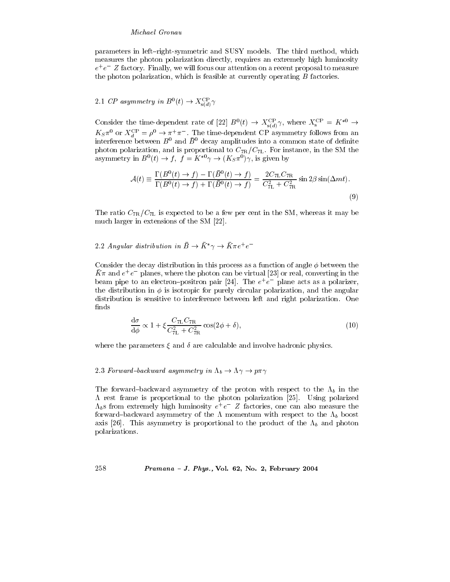parameters in left-right-symmetric and SUSY models. The third method, which measures the photon polarization directly, requires an extremely high luminosity  $e^+e^-$  Z factory. Finally, we will focus our attention on a recent proposal to measure the photon polarization, which is feasible at currently operating  $B$  factories.

# 2.1 CP asymmetry in  $B^0(t) \to X_{s(d)}^{\text{CP}} \gamma$

Consider the time-dependent rate of [22]  $B^0(t) \rightarrow X_{s(d)}^{\text{CP}} \gamma$ , where  $X_s^{\text{CP}} = K^{*0} \rightarrow$  $K_S \pi^0$  or  $X_d^{\text{CP}} = \rho^0 \to \pi^+ \pi^-$ . The time-dependent CP asymmetry follows from an interference between  $B^0$  and  $\bar{B}^0$  decay amplitudes into a common state of definite photon polarization, and is proportional to  $C_{7R}/C_{7L}$ . For instance, in the SM the asymmetry in  $B^0(t) \to f$ ,  $f = K^{*0}\gamma \to (K_S \pi^0) \gamma$ , is given by

$$
\mathcal{A}(t) \equiv \frac{\Gamma(B^0(t) \to f) - \Gamma(\bar{B}^0(t) \to f)}{\Gamma(B^0(t) \to f) + \Gamma(\bar{B}^0(t) \to f)} = \frac{2C_{7L}C_{7R}}{C_{7L}^2 + C_{7R}^2} \sin 2\beta \sin(\Delta mt). \tag{9}
$$

The ratio  $C_{7R}/C_{7L}$  is expected to be a few per cent in the SM, whereas it may be much larger in extensions of the SM [22].

## 2.2 Angular distribution in  $\bar{B} \to \bar{K}^* \gamma \to \bar{K} \pi e^+ e^-$

Consider the decay distribution in this process as a function of angle  $\phi$  between the  $K\pi$  and  $e^+e^-$  planes, where the photon can be virtual [23] or real, converting in the beam pipe to an electron-positron pair [24]. The  $e^+e^-$  plane acts as a polarizer, the distribution in  $\phi$  is isotropic for purely circular polarization, and the angular distribution is sensitive to interference between left and right polarization. One finds

$$
\frac{d\sigma}{d\phi} \propto 1 + \xi \frac{C_{7L} C_{7R}}{C_{7L}^2 + C_{7R}^2} \cos(2\phi + \delta),\tag{10}
$$

where the parameters  $\xi$  and  $\delta$  are calculable and involve hadronic physics.

# 2.3 Forward-backward asymmetry in  $\Lambda_b \to \Lambda \gamma \to p \pi \gamma$

258

The forward-backward asymmetry of the proton with respect to the  $\Lambda_b$  in the  $\Lambda$  rest frame is proportional to the photon polarization [25]. Using polarized  $\Lambda_b$ s from extremely high luminosity  $e^+e^-$  Z factories, one can also measure the forward-backward asymmetry of the  $\Lambda$  momentum with respect to the  $\Lambda_b$  boost axis [26]. This asymmetry is proportional to the product of the  $\Lambda_b$  and photon polarizations.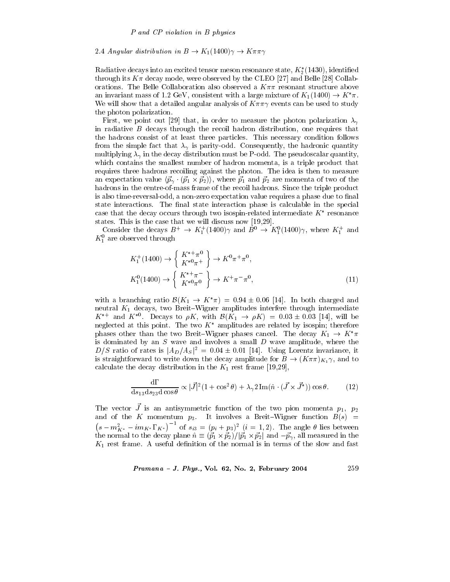#### 2.4 Angular distribution in  $B \to K_1(1400)\gamma \to K\pi\pi\gamma$

Radiative decays into an excited tensor meson resonance state,  $K_2^*(1430)$ , identified through its  $K\pi$  decay mode, were observed by the CLEO [27] and Belle [28] Collaborations. The Belle Collaboration also observed a  $K\pi\pi$  resonant structure above an invariant mass of 1.2 GeV, consistent with a large mixture of  $K_1(1400) \rightarrow K^*\pi$ . We will show that a detailed angular analysis of  $K\pi\pi\gamma$  events can be used to study the photon polarization.

First, we point out [29] that, in order to measure the photon polarization  $\lambda_{\gamma}$ in radiative  $B$  decays through the recoil hadron distribution, one requires that the hadrons consist of at least three particles. This necessary condition follows from the simple fact that  $\lambda_{\gamma}$  is parity-odd. Consequently, the hadronic quantity multiplying  $\lambda_{\gamma}$  in the decay distribution must be P-odd. The pseudoscalar quantity, which contains the smallest number of hadron momenta, is a triple product that requires three hadrons recoiling against the photon. The idea is then to measure an expectation value  $\langle \vec{p}_{\gamma} \cdot (\vec{p}_1 \times \vec{p}_2) \rangle$ , where  $\vec{p}_1$  and  $\vec{p}_2$  are momenta of two of the hadrons in the centre-of-mass frame of the recoil hadrons. Since the triple product is also time-reversal-odd, a non-zero expectation value requires a phase due to final state interactions. The final state interaction phase is calculable in the special case that the decay occurs through two isospin-related intermediate  $K^*$  resonance states. This is the case that we will discuss now  $[19,29]$ .

Consider the decays  $B^+ \to K_1^+(1400)\gamma$  and  $B^0 \to K_1^0(1400)\gamma$ , where  $K_1^+$  and  $K_1^0$  are observed through

$$
K_1^+(1400) \to \begin{cases} K^{*+}\pi^0\\ K^{*0}\pi^+ \end{cases} \to K^0\pi^+\pi^0,
$$
  

$$
K_1^0(1400) \to \begin{cases} K^{*+}\pi^-\\ K^{*0}\pi^0 \end{cases} \to K^+\pi^-\pi^0,
$$
 (11)

with a branching ratio  $\mathcal{B}(K_1 \to K^*\pi) = 0.94 \pm 0.06$  [14]. In both charged and neutral  $K_1$  decays, two Breit-Wigner amplitudes interfere through intermediate  $K^{*+}$  and  $K^{*0}$ . Decays to  $\rho K$ , with  $\mathcal{B}(K_1 \rightarrow \rho K) = 0.03 \pm 0.03$  [14], will be neglected at this point. The two  $K^*$  amplitudes are related by isospin; therefore phases other than the two Breit-Wigner phases cancel. The decay  $K_1 \rightarrow K^* \pi$ is dominated by an  $S$  wave and involves a small  $D$  wave amplitude, where the  $D/S$  ratio of rates is  $|A_D/A_S|^2 = 0.04 \pm 0.01$  [14]. Using Lorentz invariance, it is straightforward to write down the decay amplitude for  $B \to (K \pi \pi)_{K_1} \gamma$ , and to calculate the decay distribution in the  $K_1$  rest frame [19,29],

$$
\frac{d\Gamma}{ds_{13}ds_{23}d\cos\theta} \propto |\vec{J}|^2 (1 + \cos^2\theta) + \lambda_\gamma 2 \operatorname{Im}(\hat{n} \cdot (\vec{J} \times \vec{J}^*)) \cos\theta. \tag{12}
$$

The vector  $\vec{J}$  is an antisymmetric function of the two pion momenta  $p_1$ ,  $p_2$ and of the K momentum  $p_3$ . It involves a Breit-Wigner function  $B(s)$  =  $(s - m_{K^*}^2 - i m_{K^*} \Gamma_{K^*})^{-1}$  of  $s_{i3} = (p_i + p_3)^2$   $(i = 1, 2)$ . The angle  $\theta$  lies between the normal to the decay plane  $\hat{n} \equiv (\vec{p}_1 \times \vec{p}_2)/|\vec{p}_1 \times \vec{p}_2|$  and  $-\vec{p}_\gamma$ , all measured in the  $K_1$  rest frame. A useful definition of the normal is in terms of the slow and fast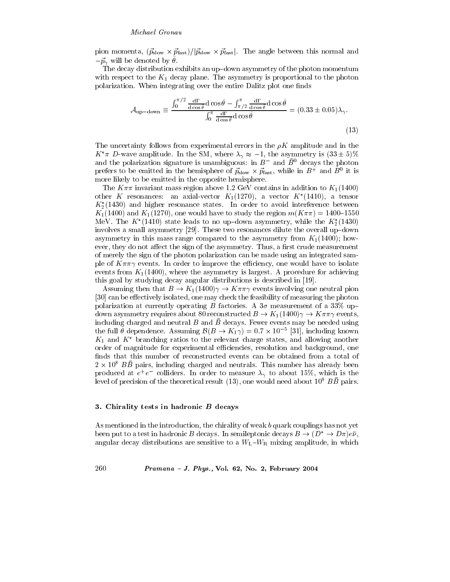pion momenta,  $(\vec{p}_{slow} \times \vec{p}_{fast})/|\vec{p}_{slow} \times \vec{p}_{fast}|$ . The angle between this normal and  $-\vec{p}_{\gamma}$  will be denoted by  $\theta$ .

The decay distribution exhibits an up-down asymmetry of the photon momentum with respect to the  $K_1$  decay plane. The asymmetry is proportional to the photon polarization. When integrating over the entire Dalitz plot one finds

$$
\mathcal{A}_{\text{up-down}} \equiv \frac{\int_0^{\pi/2} \frac{d\Gamma}{d\cos\theta} d\cos\tilde{\theta} - \int_{\pi/2}^{\pi} \frac{d\Gamma}{d\cos\theta} d\cos\tilde{\theta}}{\int_0^{\pi} \frac{d\Gamma}{d\cos\theta} d\cos\tilde{\theta}} = (0.33 \pm 0.05)\lambda_{\gamma}.
$$
\n(13)

The uncertainty follows from experimental errors in the  $\rho K$  amplitude and in the  $K^*\pi$  D-wave amplitude. In the SM, where  $\lambda_{\gamma} \approx -1$ , the asymmetry is  $(33 \pm 5)\%$ and the polarization signature is unambiguous: in  $B^-$  and  $\bar{B}^0$  decays the photon prefers to be emitted in the hemisphere of  $\vec{p}_{slow} \times \vec{p}_{fast}$ , while in  $B^+$  and  $B^0$  it is more likely to be emitted in the opposite hemisphere.

The  $K\pi\pi$  invariant mass region above 1.2 GeV contains in addition to  $K_1(1400)$ other K resonances: an axial-vector  $K_1(1270)$ , a vector  $K^*(1410)$ , a tensor  $K_2^*(1430)$  and higher resonance states. In order to avoid interference between  $K_1(1400)$  and  $K_1(1270)$ , one would have to study the region  $m(K\pi\pi) = 1400-1550$ MeV. The  $K^*(1410)$  state leads to no up-down asymmetry, while the  $K_2^*(1430)$ involves a small asymmetry [29]. These two resonances dilute the overall up-down asymmetry in this mass range compared to the asymmetry from  $K_1(1400)$ ; however, they do not affect the sign of the asymmetry. Thus, a first crude measurement of merely the sign of the photon polarization can be made using an integrated sample of  $K\pi\pi\gamma$  events. In order to improve the efficiency, one would have to isolate events from  $K_1(1400)$ , where the asymmetry is largest. A procedure for achieving this goal by studying decay angular distributions is described in [19].

Assuming then that  $B \to K_1(1400)\gamma \to K\pi\pi\gamma$  events involving one neutral pion [30] can be effectively isolated, one may check the feasibility of measuring the photon polarization at currently operating B factories. A  $3\sigma$  measurement of a  $33\%$  updown asymmetry requires about 80 reconstructed  $B \to K_1(1400)\gamma \to K\pi\pi\gamma$  events, including charged and neutral  $B$  and  $\overline{B}$  decays. Fewer events may be needed using the full  $\tilde{\theta}$  dependence. Assuming  $\mathcal{B}(B \to K_1 \gamma) = 0.7 \times 10^{-5}$  [31], including known  $K_1$  and  $K^*$  branching ratios to the relevant charge states, and allowing another order of magnitude for experimental efficiencies, resolution and background, one finds that this number of reconstructed events can be obtained from a total of  $2 \times 10^8$  BB pairs, including charged and neutrals. This number has already been produced at  $e^+e^-$  colliders. In order to measure  $\lambda_{\gamma}$  to about 15%, which is the level of precision of the theoretical result (13), one would need about  $10^9$  BB pairs.

#### 3. Chirality tests in hadronic B decays

260

As mentioned in the introduction, the chirality of weak b quark couplings has not yet been put to a test in hadronic B decays. In semileptonic decays  $B \to (D^* \to D\pi)e\overline{\nu}$ , angular decay distributions are sensitive to a  $W_L-W_R$  mixing amplitude, in which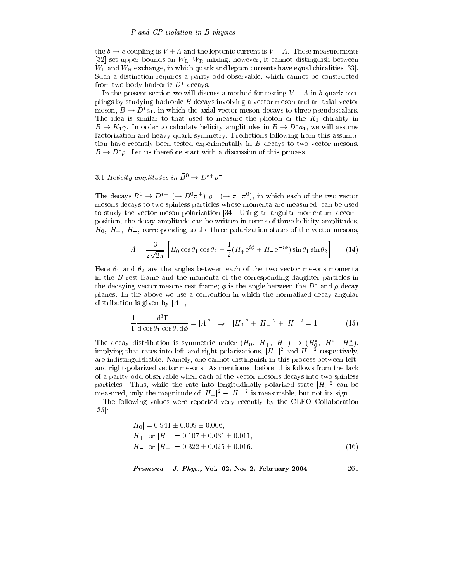the  $b \to c$  coupling is  $V + A$  and the leptonic current is  $V - A$ . These measurements [32] set upper bounds on  $W_L-W_R$  mixing; however, it cannot distinguish between  $W<sub>L</sub>$  and  $W<sub>R</sub>$  exchange, in which quark and lepton currents have equal chiralities [33]. Such a distinction requires a parity-odd observable, which cannot be constructed from two-body hadronic  $D^*$  decays.

In the present section we will discuss a method for testing  $V - A$  in b-quark couplings by studying hadronic  $B$  decays involving a vector meson and an axial-vector meson,  $B \to D^*a_1$ , in which the axial vector meson decays to three pseudoscalars. The idea is similar to that used to measure the photon or the  $K_1$  chirality in  $B \to K_1 \gamma$ . In order to calculate helicity amplitudes in  $B \to D^* a_1$ , we will assume factorization and heavy quark symmetry. Predictions following from this assumption have recently been tested experimentally in  $B$  decays to two vector mesons,  $B \to D^*\rho$ . Let us therefore start with a discussion of this process.

## 3.1 Helicity amplitudes in  $\bar{B}^0 \to D^{*+} \rho^-$

The decays  $\bar{B}^0 \to D^{*+}$  ( $\to D^0 \pi^+$ )  $\rho^-$  ( $\to \pi^- \pi^0$ ), in which each of the two vector mesons decays to two spinless particles whose momenta are measured, can be used to study the vector meson polarization [34]. Using an angular momentum decomposition, the decay amplitude can be written in terms of three helicity amplitudes,  $H_0$ ,  $H_+$ ,  $H_-$ , corresponding to the three polarization states of the vector mesons,

$$
A = \frac{3}{2\sqrt{2\pi}} \left[ H_0 \cos\theta_1 \cos\theta_2 + \frac{1}{2} (H_+ e^{i\phi} + H_- e^{-i\phi}) \sin\theta_1 \sin\theta_2 \right].
$$
 (14)

Here  $\theta_1$  and  $\theta_2$  are the angles between each of the two vector mesons momenta in the  $B$  rest frame and the momenta of the corresponding daughter particles in the decaying vector mesons rest frame;  $\phi$  is the angle between the D<sup>\*</sup> and  $\rho$  decay planes. In the above we use a convention in which the normalized decay angular distribution is given by  $|A|^2$ ,

$$
\frac{1}{\Gamma} \frac{d^3 \Gamma}{d \cos \theta_1 \cos \theta_2 d\phi} = |A|^2 \Rightarrow |H_0|^2 + |H_+|^2 + |H_-|^2 = 1.
$$
 (15)

The decay distribution is symmetric under  $(H_0, H_+, H_-) \rightarrow (H_0^*, H_-^*, H_+^*),$ implying that rates into left and right polarizations,  $|H_{-}|^2$  and  $H_{+}|^2$  respectively, are indistinguishable. Namely, one cannot distinguish in this process between leftand right-polarized vector mesons. As mentioned before, this follows from the lack of a parity-odd observable when each of the vector mesons decays into two spinless particles. Thus, while the rate into longitudinally polarized state  $|H_0|^2$  can be measured, only the magnitude of  $|H_+|^2 - |H_-|^2$  is measurable, but not its sign.

The following values were reported very recently by the CLEO Collaboration  $|35|$ :

$$
|H_0| = 0.941 \pm 0.009 \pm 0.006,|H_+| \text{ or } |H_-| = 0.107 \pm 0.031 \pm 0.011,|H_-| \text{ or } |H_+| = 0.322 \pm 0.025 \pm 0.016.
$$
\n(16)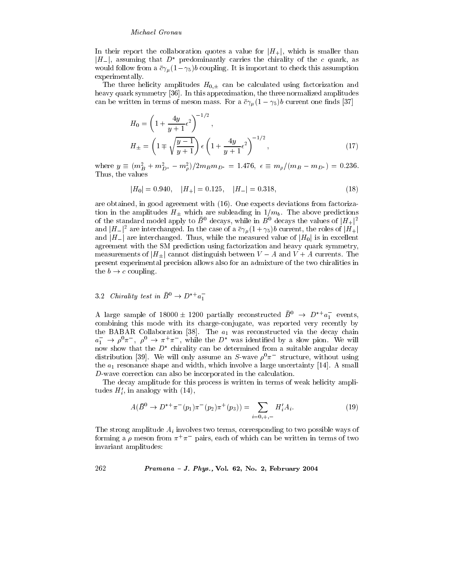In their report the collaboration quotes a value for  $|H_+|$ , which is smaller than  $|H_{-}|$ , assuming that  $D^*$  predominantly carries the chirality of the c quark, as would follow from a  $\bar{c}\gamma_\mu(1-\gamma_5)b$  coupling. It is important to check this assumption experimentally.

The three helicity amplitudes  $H_{0,\pm}$  can be calculated using factorization and heavy quark symmetry [36]. In this approximation, the three normalized amplitudes can be written in terms of meson mass. For a  $\bar{c}\gamma_\mu(1-\gamma_5)b$  current one finds [37]

$$
H_0 = \left(1 + \frac{4y}{y+1} \epsilon^2\right)^{-1/2},
$$
  
\n
$$
H_{\pm} = \left(1 \mp \sqrt{\frac{y-1}{y+1}}\right) \epsilon \left(1 + \frac{4y}{y+1} \epsilon^2\right)^{-1/2},
$$
\n(17)

where  $y \equiv (m_B^2 + m_{D^*}^2 - m_\rho^2)/2m_B m_{D^*} = 1.476$ ,  $\epsilon \equiv m_\rho/(m_B - m_{D^*}) = 0.236$ . Thus, the values

$$
|H_0| = 0.940, \quad |H_+| = 0.125, \quad |H_-| = 0.318,\tag{18}
$$

are obtained, in good agreement with (16). One expects deviations from factorization in the amplitudes  $H_{\pm}$  which are subleading in  $1/m_b$ . The above predictions of the standard model apply to  $\bar{B}^0$  decays, while in  $B^0$  decays the values of  $|H_+|^2$ and  $|H_{-}|^2$  are interchanged. In the case of a  $\bar{c}\gamma_{\mu}(1+\gamma_5)b$  current, the roles of  $|H_{+}|$ and  $|H_{-}|$  are interchanged. Thus, while the measured value of  $|H_{0}|$  is in excellent agreement with the SM prediction using factorization and heavy quark symmetry, measurements of  $|H_+|$  cannot distinguish between  $V-A$  and  $V+A$  currents. The present experimental precision allows also for an admixture of the two chiralities in the  $b \to c$  coupling.

# 3.2 Chirality test in  $\bar{B}^0 \to D^{*+} a_1^-$

A large sample of 18000  $\pm$  1200 partially reconstructed  $\bar{B}^0 \rightarrow D^{*+}a_1^-$  events, combining this mode with its charge-conjugate, was reported very recently by the BABAR Collaboration [38]. The  $a_1$  was reconstructed via the decay chain  $a_1^- \rightarrow \rho^0 \pi^-$ ,  $\rho^0 \rightarrow \pi^+ \pi^-$ , while the  $D^*$  was identified by a slow pion. We will now show that the  $D^*$  chirality can be determined from a suitable angular decay distribution [39]. We will only assume an S-wave  $\rho^0 \pi^-$  structure, without using the  $a_1$  resonance shape and width, which involve a large uncertainty [14]. A small  $D$ -wave correction can also be incorporated in the calculation.

The decay amplitude for this process is written in terms of weak helicity amplitudes  $H'_i$ , in analogy with  $(14)$ ,

$$
A(\bar{B}^0 \to D^{*+}\pi^-(p_1)\pi^-(p_2)\pi^+(p_3)) = \sum_{i=0,+,-} H'_i A_i.
$$
 (19)

The strong amplitude  $A_i$  involves two terms, corresponding to two possible ways of forming a  $\rho$  meson from  $\pi^{+}\pi^{-}$  pairs, each of which can be written in terms of two invariant amplitudes: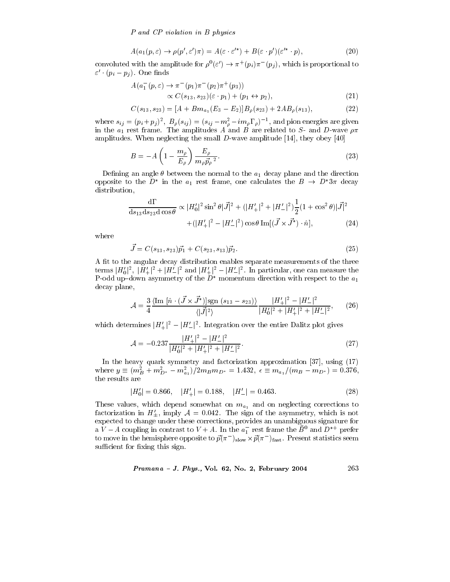P and CP violation in B physics

$$
A(a_1(p,\varepsilon) \to \rho(p',\varepsilon')\pi) = A(\varepsilon \cdot \varepsilon'^*) + B(\varepsilon \cdot p')(\varepsilon'^* \cdot p),\tag{20}
$$

convoluted with the amplitude for  $\rho^0(\varepsilon') \to \pi^+(p_i)\pi^-(p_j)$ , which is proportional to  $\varepsilon' \cdot (p_i - p_j)$ . One finds

$$
A(a_1^-(p,\varepsilon) \to \pi^-(p_1)\pi^-(p_2)\pi^+(p_3))
$$
  
 
$$
\propto C(s_{13}, s_{23})(\varepsilon \cdot p_1) + (p_1 \leftrightarrow p_2),
$$
 (21)

$$
C(s_{13}, s_{23}) = [A + Bm_{a_1}(E_3 - E_2)]B_{\rho}(s_{23}) + 2AB_{\rho}(s_{13}), \qquad (22)
$$

where  $s_{ij} = (p_i + p_j)^2$ ,  $B_\rho(s_{ij}) = (s_{ij} - m_\rho^2 - i m_\rho \Gamma_\rho)^{-1}$ , and pion energies are given in the  $a_1$  rest frame. The amplitudes A and B are related to S- and D-wave  $\rho \pi$ amplitudes. When neglecting the small  $D$ -wave amplitude [14], they obey [40]

$$
B = -A \left( 1 - \frac{m_{\rho}}{E_{\rho}} \right) \frac{E_{\rho}}{m_{\rho} \vec{p}_{\rho}^2}.
$$
 (23)

Defining an angle  $\theta$  between the normal to the  $a_1$  decay plane and the direction opposite to the  $D^*$  in the  $a_1$  rest frame, one calculates the  $B \to D^* 3\pi$  decay distribution,

$$
\frac{d\Gamma}{ds_{13}ds_{23}d\cos\theta} \propto |H'_0|^2 \sin^2\theta |\vec{J}|^2 + (|H'_+|^2 + |H'_-|^2) \frac{1}{2} (1 + \cos^2\theta) |\vec{J}|^2
$$
  
 
$$
+ (|H'_+|^2 - |H'_-|^2) \cos\theta \operatorname{Im}[(\vec{J} \times \vec{J}^*) \cdot \hat{n}], \tag{24}
$$

where

$$
\vec{J} = C(s_{13}, s_{23})\vec{p}_1 + C(s_{23}, s_{13})\vec{p}_2.
$$
\n(25)

A fit to the angular decay distribution enables separate measurements of the three terms  $|H_0'|^2$ ,  $|H_+'|^2 + |H_-'|^2$  and  $|H_+'|^2 - |H_-'|^2$ . In particular, one can measure the P-odd up-down asymmetry of the  $D^*$  momentum direction with respect to the  $a_1$ decay plane,

$$
\mathcal{A} = \frac{3}{4} \frac{\langle \text{Im} \left[ \hat{n} \cdot (\vec{J} \times \vec{J}^*) \right] \text{sgn} \left( s_{13} - s_{23} \right) \rangle}{\langle |\vec{J}|^2 \rangle} \frac{|H_+'|^2 - |H_-'|^2}{|H_0'|^2 + |H_+'|^2 + |H_-'|^2}, \tag{26}
$$

which determines  $|H'_{+}|^2 - |H'_{-}|^2$ . Integration over the entire Dalitz plot gives

$$
\mathcal{A} = -0.237 \frac{|H'_{+}|^2 - |H'_{-}|^2}{|H'_0|^2 + |H'_{+}|^2 + |H'_{-}|^2}.
$$
\n(27)

In the heavy quark symmetry and factorization approximation [37], using (17) where  $y \equiv (m_B^2 + m_{D^*}^2 - m_{a_1}^2)/2m_Bm_{D^*} = 1.432, \epsilon \equiv m_{a_1}/(m_B - m_{D^*}) = 0.376,$ the results are

$$
|H'_0| = 0.866, \quad |H'_+| = 0.188, \quad |H'_-| = 0.463. \tag{28}
$$

These values, which depend somewhat on  $m_{a_1}$  and on neglecting corrections to factorization in  $H'_{+}$ , imply  $A = 0.042$ . The sign of the asymmetry, which is not expected to change under these corrections, provides an unambiguous signature for a  $V-A$  coupling in contrast to  $V+A$ . In the  $a_1^-$  rest frame the  $\overline{B}^0$  and  $D^{*+}$  prefer to move in the hemisphere opposite to  $\vec{p}(\pi^-)_{\text{slow}} \times \vec{p}(\pi^-)_{\text{fast}}$ . Present statistics seem sufficient for fixing this sign.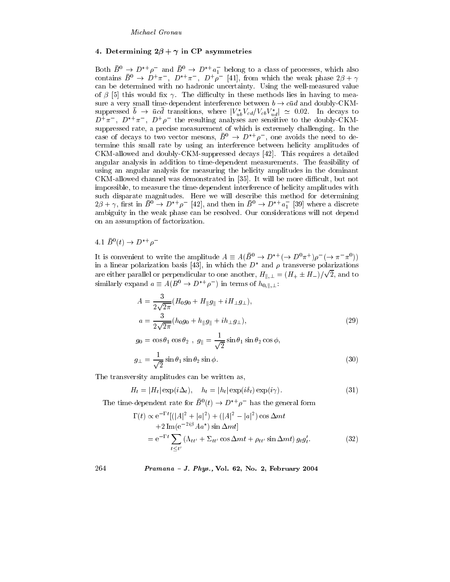### 4. Determining  $2\beta + \gamma$  in CP asymmetries

Both  $\bar{B}^0 \to D^{*+}\rho^-$  and  $\bar{B}^0 \to D^{*+}a_1^-$  belong to a class of processes, which also contains  $\bar{B}^0 \to D^+\pi^-$ ,  $D^{*+}\pi^-$ ,  $D^+\rho^-$  [41], from which the weak phase  $2\beta + \gamma$ can be determined with no hadronic uncertainty. Using the well-measured value of  $\beta$  [5] this would fix  $\gamma$ . The difficulty in these methods lies in having to measure a very small time-dependent interference between  $b \to c\bar{u}d$  and doubly-CKMsuppressed  $\bar{b} \to \bar{u}c\bar{d}$  transitions, where  $|V_{ub}^*V_{cd}/V_{cb}V_{ud}^*| \simeq 0.02$ . In decays to  $D^+\pi^-$ ,  $D^{*+}\pi^-$ ,  $D^+\rho^-$  the resulting analyses are sensitive to the doubly-CKMsuppressed rate, a precise measurement of which is extremely challenging. In the case of decays to two vector mesons,  $\bar{B}^0 \rightarrow D^{*+} \rho^-$ , one avoids the need to determine this small rate by using an interference between helicity amplitudes of CKM-allowed and doubly-CKM-suppressed decays [42]. This requires a detailed angular analysis in addition to time-dependent measurements. The feasibility of using an angular analysis for measuring the helicity amplitudes in the dominant CKM-allowed channel was demonstrated in [35]. It will be more difficult, but not impossible, to measure the time-dependent interference of helicity amplitudes with such disparate magnitudes. Here we will describe this method for determining  $2\beta + \gamma$ , first in  $\bar{B}^0 \to D^{*+} \rho^-$  [42], and then in  $\bar{B}^0 \to D^{*+} a_1^-$  [39] where a discrete ambiguity in the weak phase can be resolved. Our considerations will not depend on an assumption of factorization.

## 4.1  $\bar{B}^0(t) \to D^{*+}\rho^-$

It is convenient to write the amplitude  $A \equiv A(\overline{B}^0 \to D^{*+} (\to D^0 \pi^+) \rho^- (\to \pi^- \pi^0))$ in a linear polarization basis [43], in which the  $D^*$  and  $\rho$  transverse polarizations are either parallel or perpendicular to one another,  $H_{\parallel,\perp} = (H_+ \pm H_-)/\sqrt{2}$ , and to similarly expand  $a \equiv A(B^0 \to D^{*+} \rho^-)$  in terms of  $h_{0,\parallel,\perp}$ :

$$
A = \frac{3}{2\sqrt{2\pi}} (H_0 g_0 + H_{\parallel} g_{\parallel} + i H_{\perp} g_{\perp}),
$$
  
\n
$$
a = \frac{3}{2\sqrt{2\pi}} (h_0 g_0 + h_{\parallel} g_{\parallel} + i h_{\perp} g_{\perp}),
$$
\n(29)

$$
g_0 = \cos \theta_1 \cos \theta_2 , \ g_{\parallel} = \frac{1}{\sqrt{2}} \sin \theta_1 \sin \theta_2 \cos \phi,
$$
  

$$
g_{\perp} = \frac{1}{\sqrt{2}} \sin \theta_1 \sin \theta_2 \sin \phi.
$$
 (30)

The transversity amplitudes can be written as,

$$
H_t = |H_t| \exp(i\Delta_t), \quad h_t = |h_t| \exp(i\delta_t) \exp(i\gamma).
$$
 (31)

The time-dependent rate for  $\bar{B}^0(t) \to D^{*+}\rho^-$  has the general form

$$
\Gamma(t) \propto e^{-\Gamma t} \left[ (|A|^2 + |a|^2) + (|A|^2 - |a|^2) \cos \Delta m t + 2 \operatorname{Im}(e^{-2i\beta} A a^*) \sin \Delta m t \right]
$$
  
= 
$$
e^{-\Gamma t} \sum_{t \le t'} \left( \Lambda_{t t'} + \Sigma_{t t'} \cos \Delta m t + \rho_{t t'} \sin \Delta m t \right) g_t g_t'.
$$
 (32)

### Pramana - J. Phys., Vol. 62, No. 2, February 2004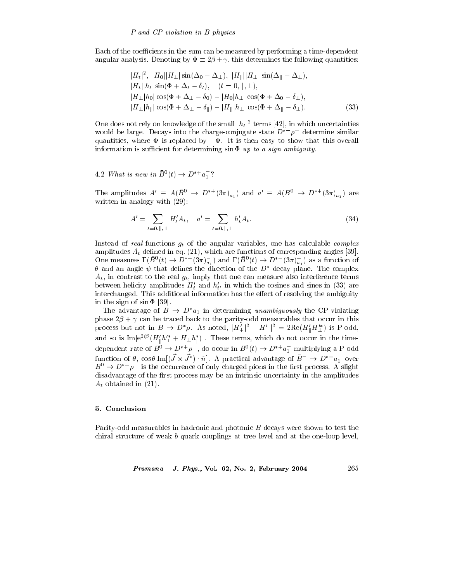Each of the coefficients in the sum can be measured by performing a time-dependent angular analysis. Denoting by  $\Phi \equiv 2\beta + \gamma$ , this determines the following quantities:

$$
|H_t|^2, |H_0||H_{\perp}|\sin(\Delta_0 - \Delta_{\perp}), |H_{\parallel}||H_{\perp}|\sin(\Delta_{\parallel} - \Delta_{\perp}),
$$
  
\n
$$
|H_t||h_t|\sin(\Phi + \Delta_t - \delta_t), \quad (t = 0, \|, \perp),
$$
  
\n
$$
|H_{\perp}|h_0|\cos(\Phi + \Delta_{\perp} - \delta_0) - |H_0|h_{\perp}|\cos(\Phi + \Delta_0 - \delta_{\perp}),
$$
  
\n
$$
|H_{\perp}|h_{\parallel}|\cos(\Phi + \Delta_{\perp} - \delta_{\parallel}) - |H_{\parallel}|h_{\perp}|\cos(\Phi + \Delta_{\parallel} - \delta_{\perp}).
$$
\n(33)

One does not rely on knowledge of the small  $|h_t|^2$  terms [42], in which uncertainties would be large. Decays into the charge-conjugate state  $D^{*-}\rho^+$  determine similar quantities, where  $\Phi$  is replaced by  $-\Phi$ . It is then easy to show that this overall information is sufficient for determining  $\sin \Phi$  up to a sign ambiguity.

4.2 What is new in  $\bar{B}^0(t) \to D^{*+}a_1^-$ ?

The amplitudes  $A' \equiv A(\bar{B}^0 \to D^{*+}(3\pi)^{-}_{a_1})$  and  $a' \equiv A(B^0 \to D^{*+}(3\pi)^{-}_{a_1})$  are written in analogy with  $(29)$ :

$$
A' = \sum_{t=0, \parallel, \perp} H'_t A_t, \quad a' = \sum_{t=0, \parallel, \perp} h'_t A_t.
$$
 (34)

Instead of real functions  $g_t$  of the angular variables, one has calculable *complex* amplitudes  $A_t$  defined in eq. (21), which are functions of corresponding angles [39].<br>One measures  $\Gamma(\bar{B}^0(t) \to D^{*+}(3\pi)_{a_1}^-)$  and  $\Gamma(\bar{B}^0(t) \to D^{*-}(3\pi)_{a_1}^+)$  as a function of  $\theta$  and an angle  $\psi$  that defines the direction of the  $D^*$  decay plane. The complex  $A_t$ , in contrast to the real  $g_t$ , imply that one can measure also interference terms between helicity amplitudes  $H'_t$  and  $h'_{t'}$  in which the cosines and sines in (33) are interchanged. This additional information has the effect of resolving the ambiguity in the sign of  $\sin \Phi$  [39].

The advantage of  $B \to D^*a_1$  in determining unambiguously the CP-violating phase  $2\beta + \gamma$  can be traced back to the parity-odd measurables that occur in this process but not in  $B \to D^*\rho$ . As noted,  $|H_+^{\prime}|^2 - H_-^{\prime}|^2 = 2\text{Re}(H_0^{\prime}H_1^{\prime*})$  is P-odd, and so is  $\text{Im}[e^{2i\beta}(H'_{\parallel}h'^*_{\perp}+H_{\perp}h^*_{\parallel})]$ . These terms, which do not occur in the timedependent rate of  $\bar{B}^0 \to D^{*+} \rho^{-}$ , do occur in  $\bar{B}^0(t) \to D^{*+} a_1^-$  multiplying a P-odd function of  $\theta$ ,  $\cos \theta$  Im  $[(\vec{J} \times \vec{J}^*) \cdot \hat{n}]$ . A practical advantage of  $\vec{B}^- \to D^{*+} a_1^-$  over  $B^0 \rightarrow D^{*+} \rho^-$  is the occurrence of only charged pions in the first process. A slight disadvantage of the first process may be an intrinsic uncertainty in the amplitudes  $A_t$  obtained in (21).

#### 5. Conclusion

Parity-odd measurables in hadronic and photonic B decays were shown to test the chiral structure of weak b quark couplings at tree level and at the one-loop level,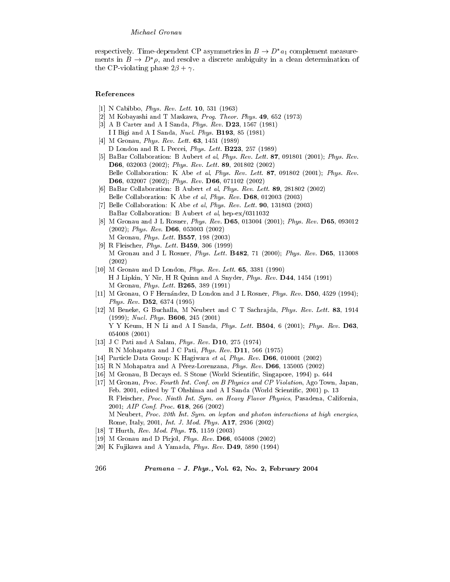respectively. Time-dependent CP asymmetries in  $B \to D^* a_1$  complement measurements in  $B \to D^*\rho$ , and resolve a discrete ambiguity in a clean determination of the CP-violating phase  $2\beta + \gamma$ .

### References

- [1] N Cabibbo, *Phys. Rev. Lett.* **10**, 531 (1963)
- [2] M Kobayashi and T Maskawa, Prog. Theor. Phys. 49, 652 (1973)
- [3] A B Carter and A I Sanda, Phys. Rev. D23, 1567 (1981) I I Bigi and A I Sanda, Nucl. Phys. B193, 85 (1981)
- [4] M Gronau, Phys. Rev. Lett.  $63, 1451$  (1989) D London and R L Peccei, Phys. Lett. B223, 257 (1989)
- [5] BaBar Collaboration: B Aubert et al, Phys. Rev. Lett. 87, 091801 (2001); Phys. Rev. D66, 032003 (2002); Phys. Rev. Lett. 89, 201802 (2002) Belle Collaboration: K Abe et al, Phys. Rev. Lett. 87, 091802 (2001); Phys. Rev. D66, 032007 (2002); Phys. Rev. D66, 071102 (2002)
- [6] BaBar Collaboration: B Aubert et al, Phys. Rev. Lett. 89, 281802 (2002) Belle Collaboration: K Abe et al, Phys. Rev. D68, 012003 (2003)
- [7] Belle Collaboration: K Abe et al, Phys. Rev. Lett.  $90$ , 131803 (2003) BaBar Collaboration: B Aubert et al. hep-ex/0311032
- [8] M Gronau and J L Rosner, Phys. Rev. D65, 013004 (2001); Phys. Rev. D65, 093012  $(2002);$  Phys. Rev. D66, 053003  $(2002)$ M Gronau, Phys. Lett. **B557**, 198 (2003)
- [9] R Fleischer, *Phys. Lett.* **B459**, 306 (1999) M Gronau and J L Rosner, Phys. Lett. B482, 71 (2000); Phys. Rev. D65, 113008  $(2002)$
- [10] M Gronau and D London, *Phys. Rev. Lett.*  $65, 3381$  (1990) H J Lipkin, Y Nir, H R Quinn and A Snyder, Phys. Rev. D44, 1454 (1991) M Gronau, Phys. Lett. B265, 389 (1991)
- [11] M Gronau, O F Hernández, D London and J L Rosner, Phys. Rev. D50, 4529 (1994); *Phys. Rev.* **D52**, 6374 (1995)
- [12] M Beneke, G Buchalla, M Neubert and C T Sachrajda, Phys. Rev. Lett. 83, 1914  $(1999);$  *Nucl. Phys.* **B606**, 245  $(2001)$ Y Y Keum, H N Li and A I Sanda, Phys. Lett. B504, 6 (2001); Phys. Rev. D63, 054008 (2001)
- [13] J C Pati and A Salam, Phys. Rev. D10, 275 (1974) R N Mohapatra and J C Pati, Phys. Rev. D11, 566 (1975)
- [14] Particle Data Group: K Hagiwara et al, Phys. Rev. D66, 010001 (2002)
- [15] R N Mohapatra and A Pérez-Lorenzana, Phys. Rev. D66, 135005 (2002)
- [16] M Gronau, B Decays ed. S Stone (World Scientific, Singapore, 1994) p. 644
- [17] M Gronau, Proc. Fourth Int. Conf. on B Physics and CP Violation, Ago Town, Japan, Feb. 2001, edited by T Ohshima and A I Sanda (World Scientific, 2001) p. 13 R Fleischer, Proc. Ninth Int. Sym. on Heavy Flavor Physics, Pasadena, California, 2001; AIP Conf. Proc. 618, 266 (2002) M Neubert, Proc. 20th Int. Sym. on lepton and photon interactions at high energies, Rome, Italy, 2001, *Int. J. Mod. Phys.* **A17**, 2936 (2002)
- [18] T Hurth, Rev. Mod. Phys.  $75, 1159$  (2003)
- [19] M Gronau and D Pirjol, Phys. Rev. D66, 054008 (2002)
- [20] K Fujikawa and A Yamada, Phys. Rev.  $D49$ , 5890 (1994)